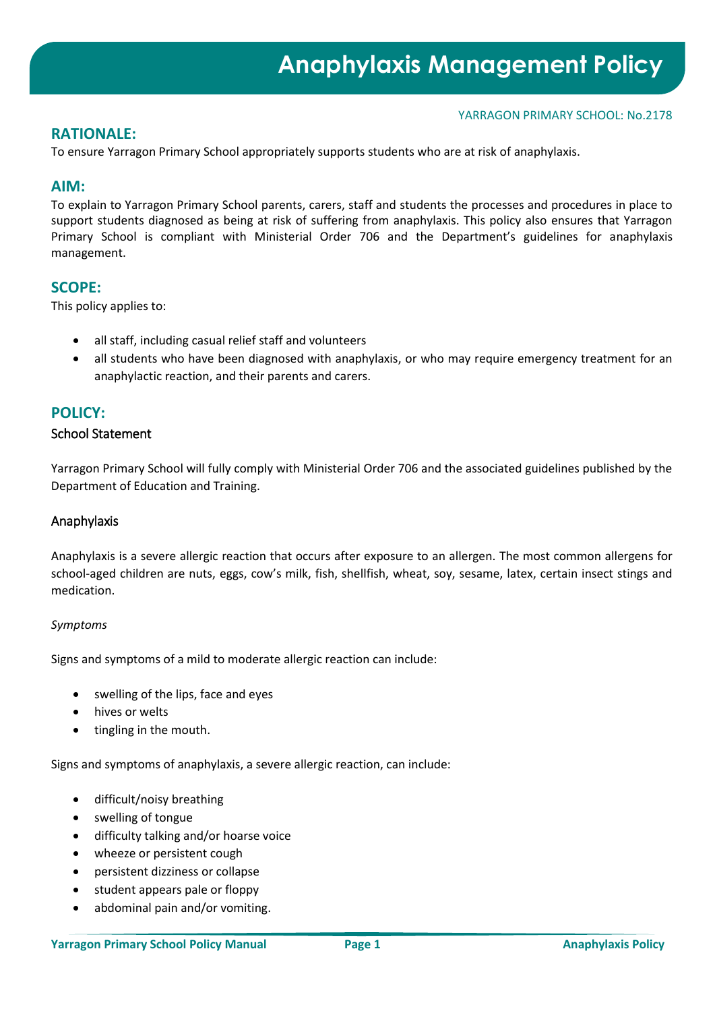## **RATIONALE:**

To ensure Yarragon Primary School appropriately supports students who are at risk of anaphylaxis.

## **AIM:**

To explain to Yarragon Primary School parents, carers, staff and students the processes and procedures in place to support students diagnosed as being at risk of suffering from anaphylaxis. This policy also ensures that Yarragon Primary School is compliant with Ministerial Order 706 and the Department's guidelines for anaphylaxis management.

## **SCOPE:**

This policy applies to:

- all staff, including casual relief staff and volunteers
- all students who have been diagnosed with anaphylaxis, or who may require emergency treatment for an anaphylactic reaction, and their parents and carers.

# **POLICY:**

## School Statement

Yarragon Primary School will fully comply with Ministerial Order 706 and the associated guidelines published by the Department of Education and Training.

## Anaphylaxis

Anaphylaxis is a severe allergic reaction that occurs after exposure to an allergen. The most common allergens for school-aged children are nuts, eggs, cow's milk, fish, shellfish, wheat, soy, sesame, latex, certain insect stings and medication.

## *Symptoms*

Signs and symptoms of a mild to moderate allergic reaction can include:

- swelling of the lips, face and eyes
- hives or welts
- tingling in the mouth.

Signs and symptoms of anaphylaxis, a severe allergic reaction, can include:

- difficult/noisy breathing
- swelling of tongue
- difficulty talking and/or hoarse voice
- wheeze or persistent cough
- persistent dizziness or collapse
- student appears pale or floppy
- abdominal pain and/or vomiting.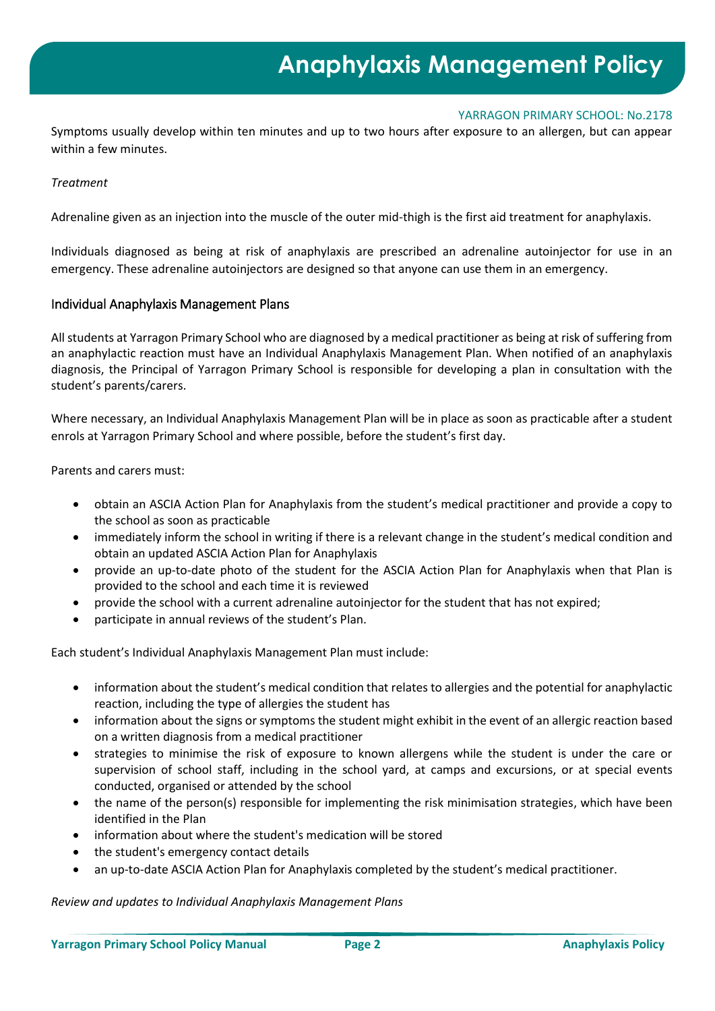Symptoms usually develop within ten minutes and up to two hours after exposure to an allergen, but can appear within a few minutes.

#### *Treatment*

Adrenaline given as an injection into the muscle of the outer mid-thigh is the first aid treatment for anaphylaxis.

Individuals diagnosed as being at risk of anaphylaxis are prescribed an adrenaline autoinjector for use in an emergency. These adrenaline autoinjectors are designed so that anyone can use them in an emergency.

#### Individual Anaphylaxis Management Plans

All students at Yarragon Primary School who are diagnosed by a medical practitioner as being at risk of suffering from an anaphylactic reaction must have an Individual Anaphylaxis Management Plan. When notified of an anaphylaxis diagnosis, the Principal of Yarragon Primary School is responsible for developing a plan in consultation with the student's parents/carers.

Where necessary, an Individual Anaphylaxis Management Plan will be in place as soon as practicable after a student enrols at Yarragon Primary School and where possible, before the student's first day.

Parents and carers must:

- obtain an ASCIA Action Plan for Anaphylaxis from the student's medical practitioner and provide a copy to the school as soon as practicable
- immediately inform the school in writing if there is a relevant change in the student's medical condition and obtain an updated ASCIA Action Plan for Anaphylaxis
- provide an up-to-date photo of the student for the ASCIA Action Plan for Anaphylaxis when that Plan is provided to the school and each time it is reviewed
- provide the school with a current adrenaline autoinjector for the student that has not expired;
- participate in annual reviews of the student's Plan.

Each student's Individual Anaphylaxis Management Plan must include:

- information about the student's medical condition that relates to allergies and the potential for anaphylactic reaction, including the type of allergies the student has
- information about the signs or symptoms the student might exhibit in the event of an allergic reaction based on a written diagnosis from a medical practitioner
- strategies to minimise the risk of exposure to known allergens while the student is under the care or supervision of school staff, including in the school yard, at camps and excursions, or at special events conducted, organised or attended by the school
- the name of the person(s) responsible for implementing the risk minimisation strategies, which have been identified in the Plan
- information about where the student's medication will be stored
- the student's emergency contact details
- an up-to-date ASCIA Action Plan for Anaphylaxis completed by the student's medical practitioner.

*Review and updates to Individual Anaphylaxis Management Plans*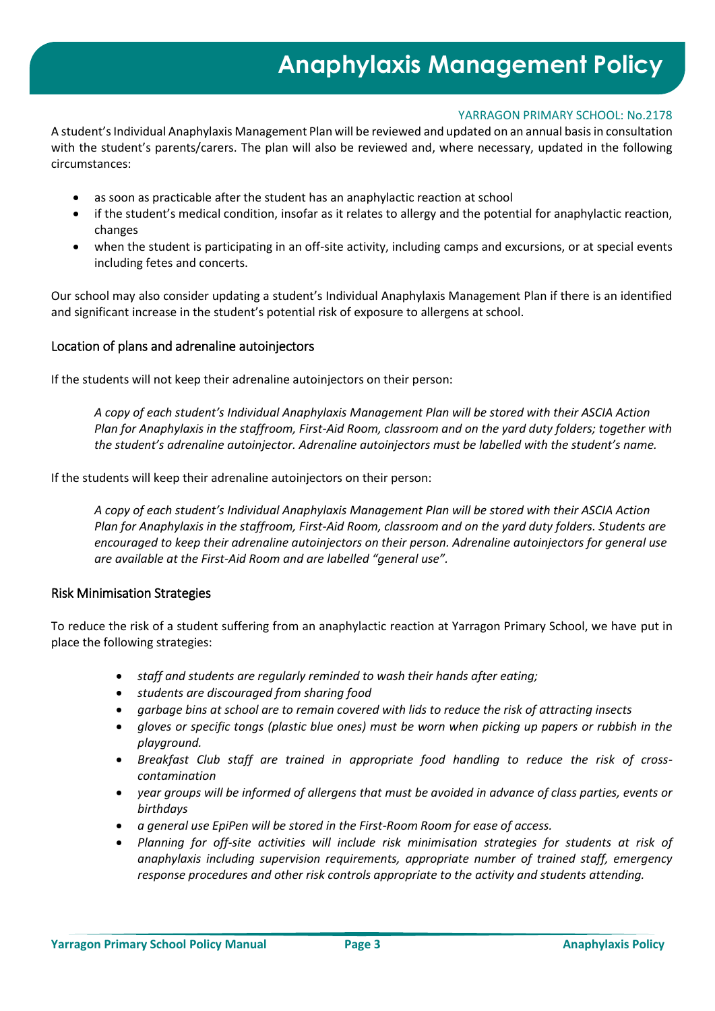# **Anaphylaxis Management Policy**

## YARRAGON PRIMARY SCHOOL: No.2178

A student's Individual Anaphylaxis Management Plan will be reviewed and updated on an annual basis in consultation with the student's parents/carers. The plan will also be reviewed and, where necessary, updated in the following circumstances:

- as soon as practicable after the student has an anaphylactic reaction at school
- if the student's medical condition, insofar as it relates to allergy and the potential for anaphylactic reaction, changes
- when the student is participating in an off-site activity, including camps and excursions, or at special events including fetes and concerts.

Our school may also consider updating a student's Individual Anaphylaxis Management Plan if there is an identified and significant increase in the student's potential risk of exposure to allergens at school.

## Location of plans and adrenaline autoinjectors

If the students will not keep their adrenaline autoinjectors on their person:

*A copy of each student's Individual Anaphylaxis Management Plan will be stored with their ASCIA Action Plan for Anaphylaxis in the staffroom, First-Aid Room, classroom and on the yard duty folders; together with the student's adrenaline autoinjector. Adrenaline autoinjectors must be labelled with the student's name.*

If the students will keep their adrenaline autoinjectors on their person:

*A copy of each student's Individual Anaphylaxis Management Plan will be stored with their ASCIA Action Plan for Anaphylaxis in the staffroom, First-Aid Room, classroom and on the yard duty folders. Students are encouraged to keep their adrenaline autoinjectors on their person. Adrenaline autoinjectors for general use are available at the First-Aid Room and are labelled "general use".* 

## Risk Minimisation Strategies

To reduce the risk of a student suffering from an anaphylactic reaction at Yarragon Primary School, we have put in place the following strategies:

- *staff and students are regularly reminded to wash their hands after eating;*
- *students are discouraged from sharing food*
- *garbage bins at school are to remain covered with lids to reduce the risk of attracting insects*
- *gloves or specific tongs (plastic blue ones) must be worn when picking up papers or rubbish in the playground.*
- *Breakfast Club staff are trained in appropriate food handling to reduce the risk of crosscontamination*
- *year groups will be informed of allergens that must be avoided in advance of class parties, events or birthdays*
- *a general use EpiPen will be stored in the First-Room Room for ease of access.*
- *Planning for off-site activities will include risk minimisation strategies for students at risk of anaphylaxis including supervision requirements, appropriate number of trained staff, emergency response procedures and other risk controls appropriate to the activity and students attending.*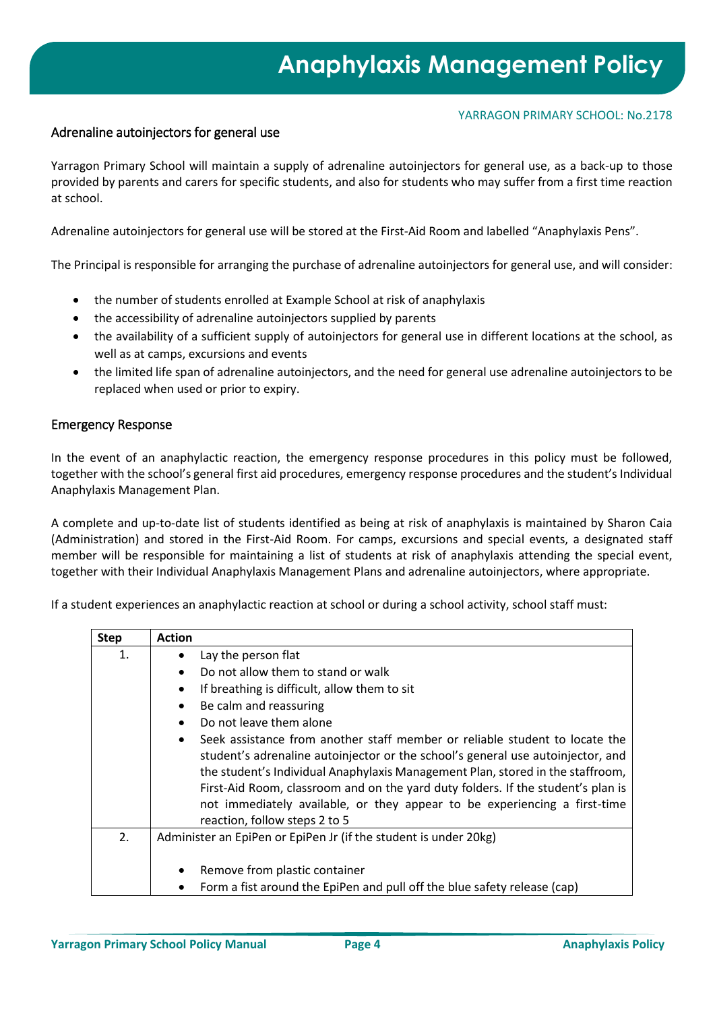## Adrenaline autoinjectors for general use

Yarragon Primary School will maintain a supply of adrenaline autoinjectors for general use, as a back-up to those provided by parents and carers for specific students, and also for students who may suffer from a first time reaction at school.

Adrenaline autoinjectors for general use will be stored at the First-Aid Room and labelled "Anaphylaxis Pens".

The Principal is responsible for arranging the purchase of adrenaline autoinjectors for general use, and will consider:

- the number of students enrolled at Example School at risk of anaphylaxis
- the accessibility of adrenaline autoinjectors supplied by parents
- the availability of a sufficient supply of autoinjectors for general use in different locations at the school, as well as at camps, excursions and events
- the limited life span of adrenaline autoinjectors, and the need for general use adrenaline autoinjectors to be replaced when used or prior to expiry.

## Emergency Response

In the event of an anaphylactic reaction, the emergency response procedures in this policy must be followed, together with the school's general first aid procedures, emergency response procedures and the student's Individual Anaphylaxis Management Plan.

A complete and up-to-date list of students identified as being at risk of anaphylaxis is maintained by Sharon Caia (Administration) and stored in the First-Aid Room. For camps, excursions and special events, a designated staff member will be responsible for maintaining a list of students at risk of anaphylaxis attending the special event, together with their Individual Anaphylaxis Management Plans and adrenaline autoinjectors, where appropriate.

If a student experiences an anaphylactic reaction at school or during a school activity, school staff must:

| <b>Step</b> | <b>Action</b>                                                                                                                                                                                                                                                                                                                                                                                                     |
|-------------|-------------------------------------------------------------------------------------------------------------------------------------------------------------------------------------------------------------------------------------------------------------------------------------------------------------------------------------------------------------------------------------------------------------------|
| 1.          | Lay the person flat                                                                                                                                                                                                                                                                                                                                                                                               |
|             | Do not allow them to stand or walk<br>$\bullet$                                                                                                                                                                                                                                                                                                                                                                   |
|             | If breathing is difficult, allow them to sit                                                                                                                                                                                                                                                                                                                                                                      |
|             | Be calm and reassuring<br>$\bullet$                                                                                                                                                                                                                                                                                                                                                                               |
|             | Do not leave them alone                                                                                                                                                                                                                                                                                                                                                                                           |
|             | Seek assistance from another staff member or reliable student to locate the<br>student's adrenaline autoinjector or the school's general use autoinjector, and<br>the student's Individual Anaphylaxis Management Plan, stored in the staffroom,<br>First-Aid Room, classroom and on the yard duty folders. If the student's plan is<br>not immediately available, or they appear to be experiencing a first-time |
|             | reaction, follow steps 2 to 5                                                                                                                                                                                                                                                                                                                                                                                     |
| 2.          | Administer an EpiPen or EpiPen Jr (if the student is under 20kg)                                                                                                                                                                                                                                                                                                                                                  |
|             | Remove from plastic container                                                                                                                                                                                                                                                                                                                                                                                     |
|             | Form a fist around the EpiPen and pull off the blue safety release (cap)<br>٠                                                                                                                                                                                                                                                                                                                                     |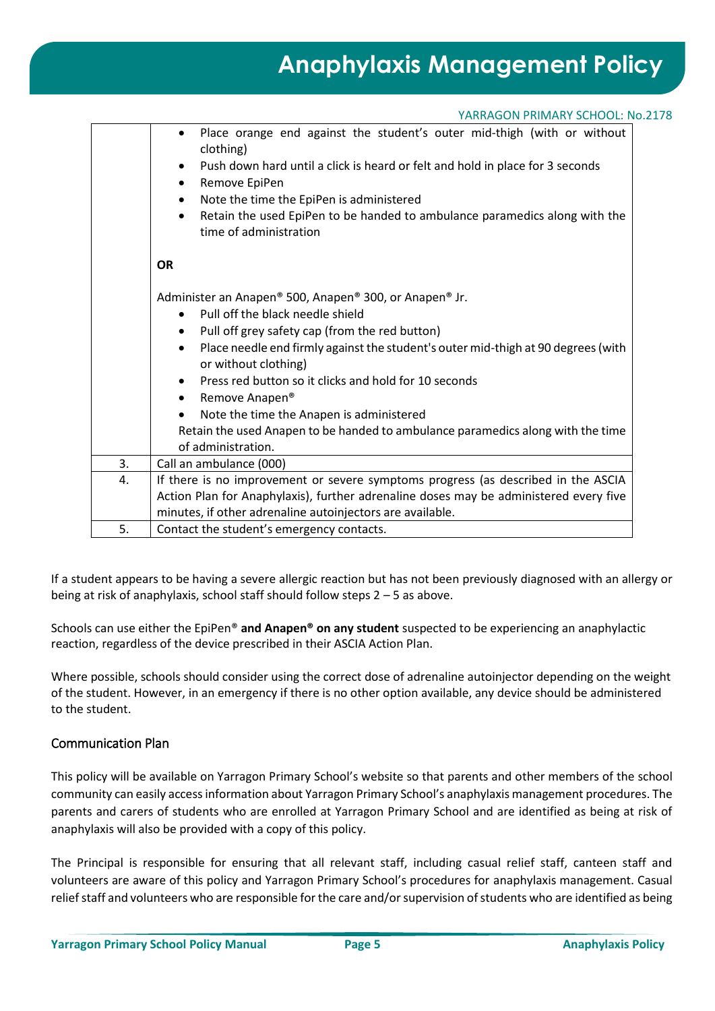| YARRAGON PRIMARY SCHOOL: No.2178 |  |
|----------------------------------|--|
|----------------------------------|--|

|    | Place orange end against the student's outer mid-thigh (with or without<br>$\bullet$<br>clothing)                      |  |  |
|----|------------------------------------------------------------------------------------------------------------------------|--|--|
|    | Push down hard until a click is heard or felt and hold in place for 3 seconds<br>$\bullet$<br>Remove EpiPen<br>٠       |  |  |
|    |                                                                                                                        |  |  |
|    | Note the time the EpiPen is administered<br>$\bullet$                                                                  |  |  |
|    | Retain the used EpiPen to be handed to ambulance paramedics along with the<br>$\bullet$<br>time of administration      |  |  |
|    |                                                                                                                        |  |  |
|    | <b>OR</b>                                                                                                              |  |  |
|    |                                                                                                                        |  |  |
|    | Administer an Anapen® 500, Anapen® 300, or Anapen® Jr.                                                                 |  |  |
|    | Pull off the black needle shield<br>$\bullet$                                                                          |  |  |
|    | Pull off grey safety cap (from the red button)<br>$\bullet$                                                            |  |  |
|    | Place needle end firmly against the student's outer mid-thigh at 90 degrees (with<br>$\bullet$<br>or without clothing) |  |  |
|    | Press red button so it clicks and hold for 10 seconds                                                                  |  |  |
|    | Remove Anapen <sup>®</sup><br>$\bullet$                                                                                |  |  |
|    | Note the time the Anapen is administered                                                                               |  |  |
|    | Retain the used Anapen to be handed to ambulance paramedics along with the time                                        |  |  |
|    | of administration.                                                                                                     |  |  |
| 3. | Call an ambulance (000)                                                                                                |  |  |
| 4. | If there is no improvement or severe symptoms progress (as described in the ASCIA                                      |  |  |
|    | Action Plan for Anaphylaxis), further adrenaline doses may be administered every five                                  |  |  |
|    | minutes, if other adrenaline autoinjectors are available.                                                              |  |  |
| 5. | Contact the student's emergency contacts.                                                                              |  |  |

If a student appears to be having a severe allergic reaction but has not been previously diagnosed with an allergy or being at risk of anaphylaxis, school staff should follow steps 2 – 5 as above.

Schools can use either the EpiPen® **and Anapen® on any student** suspected to be experiencing an anaphylactic reaction, regardless of the device prescribed in their ASCIA Action Plan.

Where possible, schools should consider using the correct dose of adrenaline autoinjector depending on the weight of the student. However, in an emergency if there is no other option available, any device should be administered to the student.

## Communication Plan

This policy will be available on Yarragon Primary School's website so that parents and other members of the school community can easily access information about Yarragon Primary School's anaphylaxis management procedures. The parents and carers of students who are enrolled at Yarragon Primary School and are identified as being at risk of anaphylaxis will also be provided with a copy of this policy.

The Principal is responsible for ensuring that all relevant staff, including casual relief staff, canteen staff and volunteers are aware of this policy and Yarragon Primary School's procedures for anaphylaxis management. Casual relief staff and volunteers who are responsible for the care and/or supervision of students who are identified as being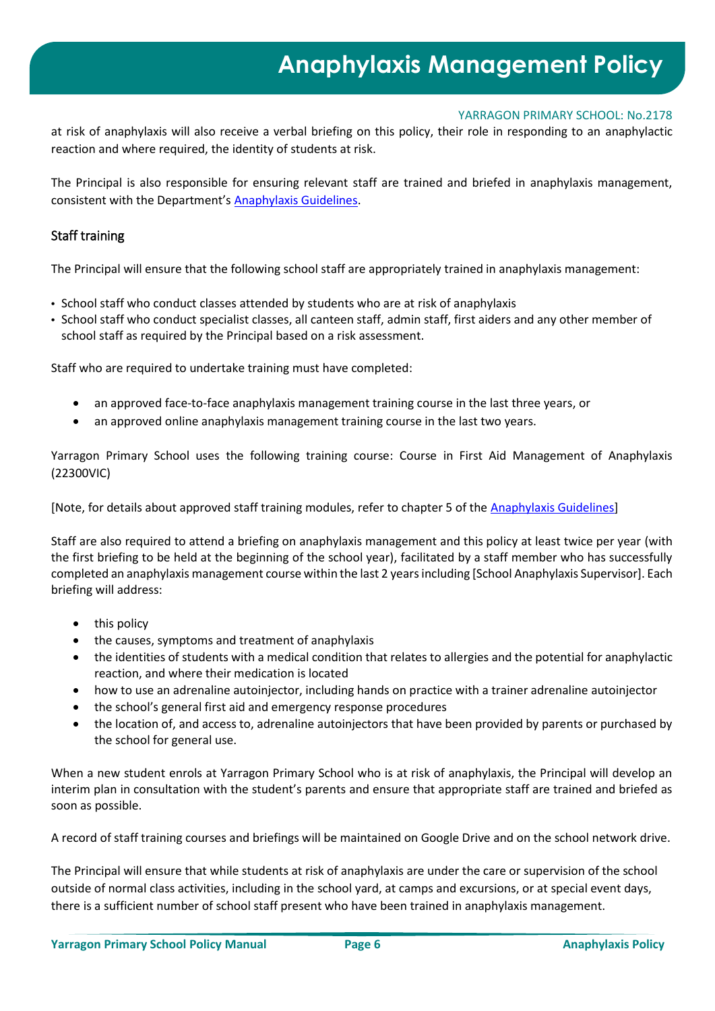# **Anaphylaxis Management Policy**

## YARRAGON PRIMARY SCHOOL: No.2178

at risk of anaphylaxis will also receive a verbal briefing on this policy, their role in responding to an anaphylactic reaction and where required, the identity of students at risk.

The Principal is also responsible for ensuring relevant staff are trained and briefed in anaphylaxis management, consistent with the Department's [Anaphylaxis Guidelines.](https://www2.education.vic.gov.au/pal/anaphylaxis/guidance)

## Staff training

The Principal will ensure that the following school staff are appropriately trained in anaphylaxis management:

- School staff who conduct classes attended by students who are at risk of anaphylaxis
- School staff who conduct specialist classes, all canteen staff, admin staff, first aiders and any other member of school staff as required by the Principal based on a risk assessment.

Staff who are required to undertake training must have completed:

- an approved face-to-face anaphylaxis management training course in the last three years, or
- an approved online anaphylaxis management training course in the last two years.

Yarragon Primary School uses the following training course: Course in First Aid Management of Anaphylaxis (22300VIC)

[Note, for details about approved staff training modules, refer to chapter 5 of the [Anaphylaxis Guidelines\]](https://www2.education.vic.gov.au/pal/anaphylaxis/guidance/5-staff-training)

Staff are also required to attend a briefing on anaphylaxis management and this policy at least twice per year (with the first briefing to be held at the beginning of the school year), facilitated by a staff member who has successfully completed an anaphylaxis management course within the last 2 years including [School Anaphylaxis Supervisor]. Each briefing will address:

- this policy
- the causes, symptoms and treatment of anaphylaxis
- the identities of students with a medical condition that relates to allergies and the potential for anaphylactic reaction, and where their medication is located
- how to use an adrenaline autoinjector, including hands on practice with a trainer adrenaline autoinjector
- the school's general first aid and emergency response procedures
- the location of, and access to, adrenaline autoinjectors that have been provided by parents or purchased by the school for general use.

When a new student enrols at Yarragon Primary School who is at risk of anaphylaxis, the Principal will develop an interim plan in consultation with the student's parents and ensure that appropriate staff are trained and briefed as soon as possible.

A record of staff training courses and briefings will be maintained on Google Drive and on the school network drive.

The Principal will ensure that while students at risk of anaphylaxis are under the care or supervision of the school outside of normal class activities, including in the school yard, at camps and excursions, or at special event days, there is a sufficient number of school staff present who have been trained in anaphylaxis management.